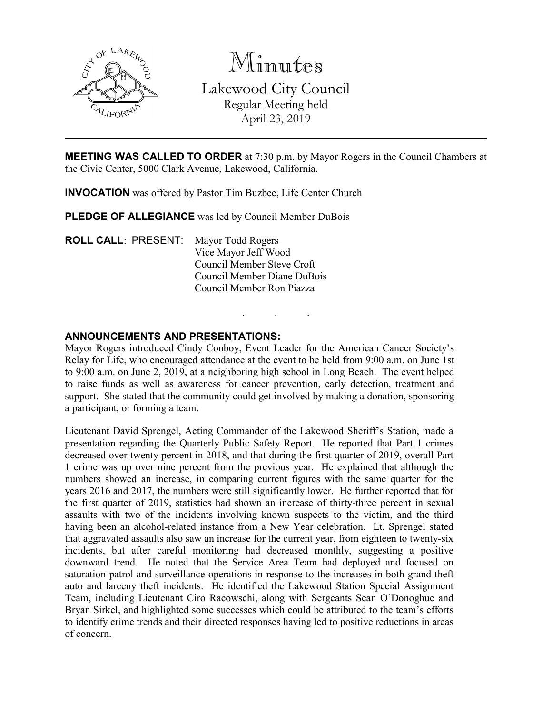

Minutes Lakewood City Council Regular Meeting held April 23, 2019

**MEETING WAS CALLED TO ORDER** at 7:30 p.m. by Mayor Rogers in the Council Chambers at the Civic Center, 5000 Clark Avenue, Lakewood, California.

**INVOCATION** was offered by Pastor Tim Buzbee, Life Center Church

**PLEDGE OF ALLEGIANCE** was led by Council Member DuBois

**ROLL CALL**: PRESENT: Mayor Todd Rogers Vice Mayor Jeff Wood Council Member Steve Croft Council Member Diane DuBois Council Member Ron Piazza

## **ANNOUNCEMENTS AND PRESENTATIONS:**

Mayor Rogers introduced Cindy Conboy, Event Leader for the American Cancer Society's Relay for Life, who encouraged attendance at the event to be held from 9:00 a.m. on June 1st to 9:00 a.m. on June 2, 2019, at a neighboring high school in Long Beach. The event helped to raise funds as well as awareness for cancer prevention, early detection, treatment and support. She stated that the community could get involved by making a donation, sponsoring a participant, or forming a team.

. . .

Lieutenant David Sprengel, Acting Commander of the Lakewood Sheriff's Station, made a presentation regarding the Quarterly Public Safety Report. He reported that Part 1 crimes decreased over twenty percent in 2018, and that during the first quarter of 2019, overall Part 1 crime was up over nine percent from the previous year. He explained that although the numbers showed an increase, in comparing current figures with the same quarter for the years 2016 and 2017, the numbers were still significantly lower. He further reported that for the first quarter of 2019, statistics had shown an increase of thirty-three percent in sexual assaults with two of the incidents involving known suspects to the victim, and the third having been an alcohol-related instance from a New Year celebration. Lt. Sprengel stated that aggravated assaults also saw an increase for the current year, from eighteen to twenty-six incidents, but after careful monitoring had decreased monthly, suggesting a positive downward trend. He noted that the Service Area Team had deployed and focused on saturation patrol and surveillance operations in response to the increases in both grand theft auto and larceny theft incidents. He identified the Lakewood Station Special Assignment Team, including Lieutenant Ciro Racowschi, along with Sergeants Sean O'Donoghue and Bryan Sirkel, and highlighted some successes which could be attributed to the team's efforts to identify crime trends and their directed responses having led to positive reductions in areas of concern.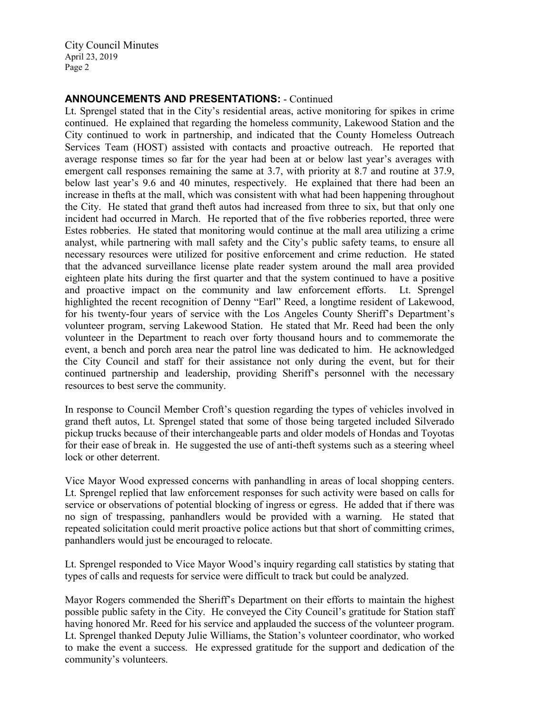City Council Minutes April 23, 2019 Page 2

# **ANNOUNCEMENTS AND PRESENTATIONS:** - Continued

Lt. Sprengel stated that in the City's residential areas, active monitoring for spikes in crime continued. He explained that regarding the homeless community, Lakewood Station and the City continued to work in partnership, and indicated that the County Homeless Outreach Services Team (HOST) assisted with contacts and proactive outreach. He reported that average response times so far for the year had been at or below last year's averages with emergent call responses remaining the same at 3.7, with priority at 8.7 and routine at 37.9, below last year's 9.6 and 40 minutes, respectively. He explained that there had been an increase in thefts at the mall, which was consistent with what had been happening throughout the City. He stated that grand theft autos had increased from three to six, but that only one incident had occurred in March. He reported that of the five robberies reported, three were Estes robberies. He stated that monitoring would continue at the mall area utilizing a crime analyst, while partnering with mall safety and the City's public safety teams, to ensure all necessary resources were utilized for positive enforcement and crime reduction. He stated that the advanced surveillance license plate reader system around the mall area provided eighteen plate hits during the first quarter and that the system continued to have a positive and proactive impact on the community and law enforcement efforts. Lt. Sprengel highlighted the recent recognition of Denny "Earl" Reed, a longtime resident of Lakewood, for his twenty-four years of service with the Los Angeles County Sheriff's Department's volunteer program, serving Lakewood Station. He stated that Mr. Reed had been the only volunteer in the Department to reach over forty thousand hours and to commemorate the event, a bench and porch area near the patrol line was dedicated to him. He acknowledged the City Council and staff for their assistance not only during the event, but for their continued partnership and leadership, providing Sheriff's personnel with the necessary resources to best serve the community.

In response to Council Member Croft's question regarding the types of vehicles involved in grand theft autos, Lt. Sprengel stated that some of those being targeted included Silverado pickup trucks because of their interchangeable parts and older models of Hondas and Toyotas for their ease of break in. He suggested the use of anti-theft systems such as a steering wheel lock or other deterrent.

Vice Mayor Wood expressed concerns with panhandling in areas of local shopping centers. Lt. Sprengel replied that law enforcement responses for such activity were based on calls for service or observations of potential blocking of ingress or egress. He added that if there was no sign of trespassing, panhandlers would be provided with a warning. He stated that repeated solicitation could merit proactive police actions but that short of committing crimes, panhandlers would just be encouraged to relocate.

Lt. Sprengel responded to Vice Mayor Wood's inquiry regarding call statistics by stating that types of calls and requests for service were difficult to track but could be analyzed.

Mayor Rogers commended the Sheriff's Department on their efforts to maintain the highest possible public safety in the City. He conveyed the City Council's gratitude for Station staff having honored Mr. Reed for his service and applauded the success of the volunteer program. Lt. Sprengel thanked Deputy Julie Williams, the Station's volunteer coordinator, who worked to make the event a success. He expressed gratitude for the support and dedication of the community's volunteers.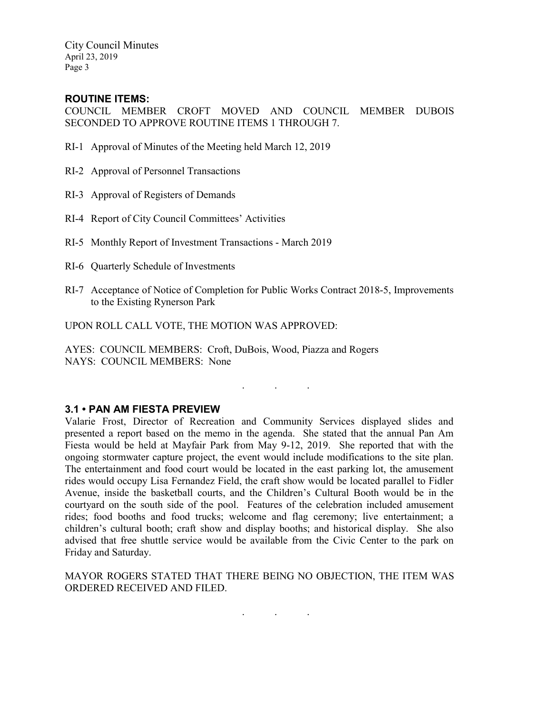City Council Minutes April 23, 2019 Page 3

## **ROUTINE ITEMS:**

COUNCIL MEMBER CROFT MOVED AND COUNCIL MEMBER DUBOIS SECONDED TO APPROVE ROUTINE ITEMS 1 THROUGH 7.

- RI-1 Approval of Minutes of the Meeting held March 12, 2019
- RI-2 Approval of Personnel Transactions
- RI-3 Approval of Registers of Demands
- RI-4 Report of City Council Committees' Activities
- RI-5 Monthly Report of Investment Transactions March 2019
- RI-6 Quarterly Schedule of Investments
- RI-7 Acceptance of Notice of Completion for Public Works Contract 2018-5, Improvements to the Existing Rynerson Park

. . .

UPON ROLL CALL VOTE, THE MOTION WAS APPROVED:

AYES: COUNCIL MEMBERS: Croft, DuBois, Wood, Piazza and Rogers NAYS: COUNCIL MEMBERS: None

### **3.1 • PAN AM FIESTA PREVIEW**

Valarie Frost, Director of Recreation and Community Services displayed slides and presented a report based on the memo in the agenda. She stated that the annual Pan Am Fiesta would be held at Mayfair Park from May 9-12, 2019. She reported that with the ongoing stormwater capture project, the event would include modifications to the site plan. The entertainment and food court would be located in the east parking lot, the amusement rides would occupy Lisa Fernandez Field, the craft show would be located parallel to Fidler Avenue, inside the basketball courts, and the Children's Cultural Booth would be in the courtyard on the south side of the pool. Features of the celebration included amusement rides; food booths and food trucks; welcome and flag ceremony; live entertainment; a children's cultural booth; craft show and display booths; and historical display. She also advised that free shuttle service would be available from the Civic Center to the park on Friday and Saturday.

MAYOR ROGERS STATED THAT THERE BEING NO OBJECTION, THE ITEM WAS ORDERED RECEIVED AND FILED.

. . .